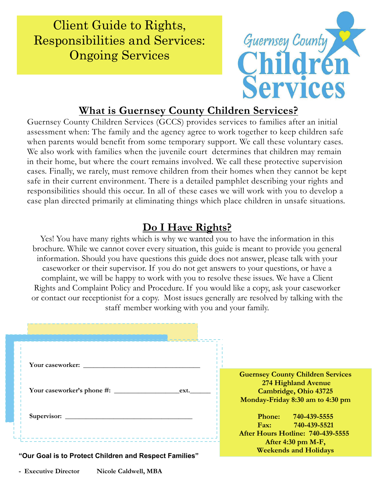Client Guide to Rights, Responsibilities and Services: Ongoing Services



## **What is Guernsey County Children Services?**

Guernsey County Children Services (GCCS) provides services to families after an initial assessment when: The family and the agency agree to work together to keep children safe when parents would benefit from some temporary support. We call these voluntary cases. We also work with families when the juvenile court determines that children may remain in their home, but where the court remains involved. We call these protective supervision cases. Finally, we rarely, must remove children from their homes when they cannot be kept safe in their current environment. There is a detailed pamphlet describing your rights and responsibilities should this occur. In all of these cases we will work with you to develop a case plan directed primarily at eliminating things which place children in unsafe situations.

## **Do I Have Rights?**

Yes! You have many rights which is why we wanted you to have the information in this brochure. While we cannot cover every situation, this guide is meant to provide you general information. Should you have questions this guide does not answer, please talk with your caseworker or their supervisor. If you do not get answers to your questions, or have a complaint, we will be happy to work with you to resolve these issues. We have a Client Rights and Complaint Policy and Procedure. If you would like a copy, ask your caseworker or contact our receptionist for a copy. Most issues generally are resolved by talking with the staff member working with you and your family.

| Your caseworker:                                       |                                                                                                                              |
|--------------------------------------------------------|------------------------------------------------------------------------------------------------------------------------------|
| Your caseworker's phone #:<br>ext.                     | <b>Guernsey County Children Services</b><br>274 Highland Avenue<br>Cambridge, Ohio 43725<br>Monday-Friday 8:30 am to 4:30 pm |
|                                                        | Phone: 740-439-5555<br>Fax: 740-439-5521<br>After Hours Hotline: 740-439-5555<br>After $4:30$ pm M-F,                        |
| "Our Goal is to Protect Children and Respect Families" | <b>Weekends and Holidays</b>                                                                                                 |

**- Executive Director Nicole Caldwell, MBA**